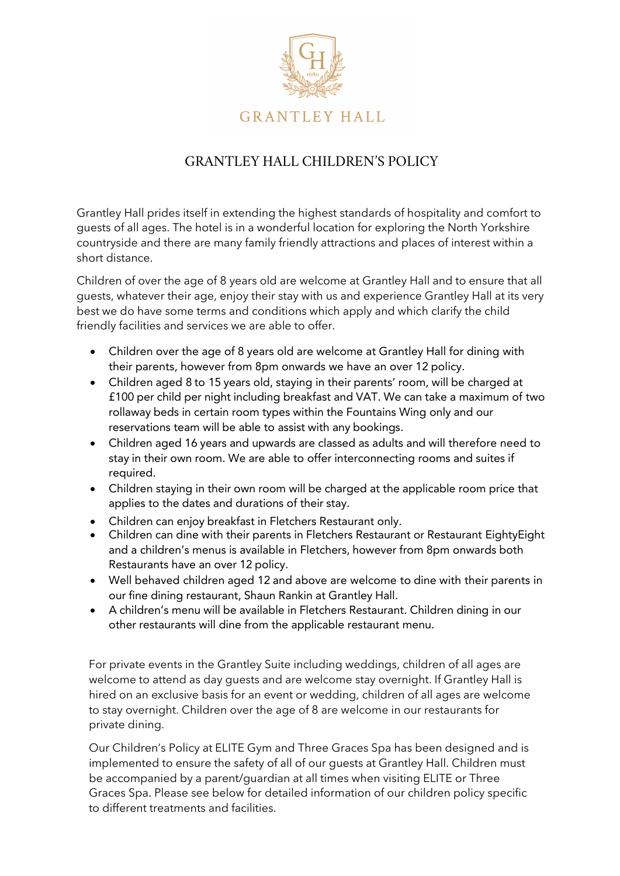

# GRANTLEY HALL CHILDREN'S POLICY

Grantley Hall prides itself in extending the highest standards of hospitality and comfort to guests of all ages. The hotel is in a wonderful location for exploring the North Yorkshire countryside and there are many family friendly attractions and places of interest within a short distance.

Children of over the age of 8 years old are welcome at Grantley Hall and to ensure that all guests, whatever their age, enjoy their stay with us and experience Grantley Hall at its very best we do have some terms and conditions which apply and which clarify the child friendly facilities and services we are able to offer.

- Children over the age of 8 years old are welcome at Grantley Hall for dining with their parents, however from 8pm onwards we have an over 12 policy.
- Children aged 8 to 15 years old, staying in their parents' room, will be charged at £100 per child per night including breakfast and VAT. We can take a maximum of two rollaway beds in certain room types within the Fountains Wing only and our reservations team will be able to assist with any bookings.
- Children aged 16 years and upwards are classed as adults and will therefore need to stay in their own room. We are able to offer interconnecting rooms and suites if required.
- Children staying in their own room will be charged at the applicable room price that applies to the dates and durations of their stay.
- Children can enjoy breakfast in Fletchers Restaurant only.
- Children can dine with their parents in Fletchers Restaurant or Restaurant EightyEight and a children's menus is available in Fletchers, however from 8pm onwards both Restaurants have an over 12 policy.
- Well behaved children aged 12 and above are welcome to dine with their parents in our fine dining restaurant, Shaun Rankin at Grantley Hall.
- A children's menu will be available in Fletchers Restaurant. Children dining in our other restaurants will dine from the applicable restaurant menu.

For private events in the Grantley Suite including weddings, children of all ages are welcome to attend as day guests and are welcome stay overnight. If Grantley Hall is hired on an exclusive basis for an event or wedding, children of all ages are welcome to stay overnight. Children over the age of 8 are welcome in our restaurants for private dining.

Our Children's Policy at ELITE Gym and Three Graces Spa has been designed and is implemented to ensure the safety of all of our guests at Grantley Hall. Children must be accompanied by a parent/guardian at all times when visiting ELITE or Three Graces Spa. Please see below for detailed information of our children policy specific to different treatments and facilities.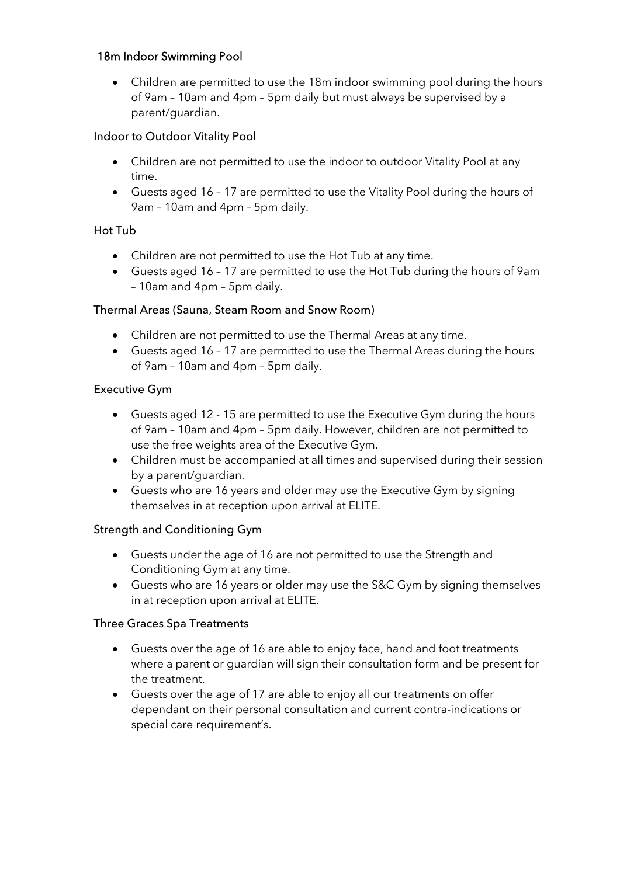## 18m Indoor Swimming Pool

• Children are permitted to use the 18m indoor swimming pool during the hours of 9am – 10am and 4pm – 5pm daily but must always be supervised by a parent/guardian.

#### Indoor to Outdoor Vitality Pool

- Children are not permitted to use the indoor to outdoor Vitality Pool at any time.
- Guests aged 16 17 are permitted to use the Vitality Pool during the hours of 9am – 10am and 4pm – 5pm daily.

#### Hot Tub

- Children are not permitted to use the Hot Tub at any time.
- Guests aged 16 17 are permitted to use the Hot Tub during the hours of 9am – 10am and 4pm – 5pm daily.

#### Thermal Areas (Sauna, Steam Room and Snow Room)

- Children are not permitted to use the Thermal Areas at any time.
- Guests aged 16 17 are permitted to use the Thermal Areas during the hours of 9am – 10am and 4pm – 5pm daily.

#### Executive Gym

- Guests aged 12 15 are permitted to use the Executive Gym during the hours of 9am – 10am and 4pm – 5pm daily. However, children are not permitted to use the free weights area of the Executive Gym.
- Children must be accompanied at all times and supervised during their session by a parent/guardian.
- Guests who are 16 years and older may use the Executive Gym by signing themselves in at reception upon arrival at ELITE.

#### Strength and Conditioning Gym

- Guests under the age of 16 are not permitted to use the Strength and Conditioning Gym at any time.
- Guests who are 16 years or older may use the S&C Gym by signing themselves in at reception upon arrival at ELITE.

#### Three Graces Spa Treatments

- Guests over the age of 16 are able to enjoy face, hand and foot treatments where a parent or guardian will sign their consultation form and be present for the treatment.
- Guests over the age of 17 are able to enjoy all our treatments on offer dependant on their personal consultation and current contra-indications or special care requirement's.